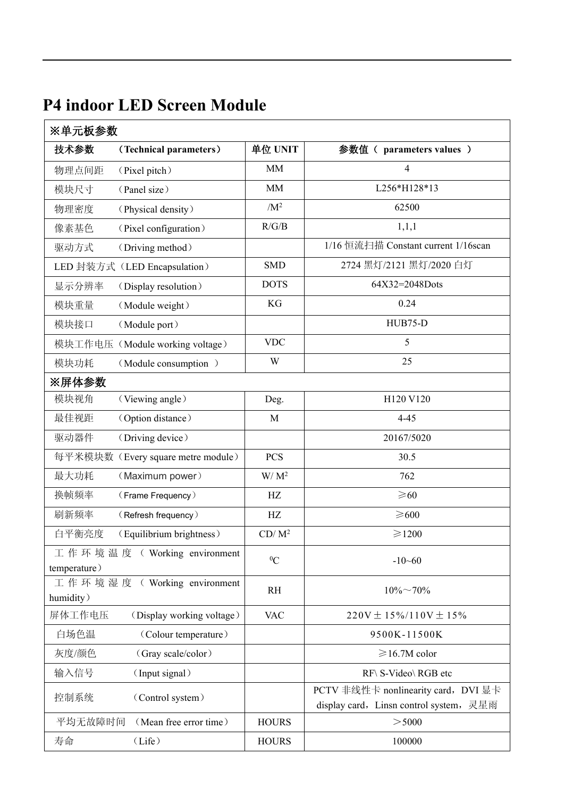|  |  |  |  | <b>P4 indoor LED Screen Module</b> |  |
|--|--|--|--|------------------------------------|--|
|--|--|--|--|------------------------------------|--|

| 技术参数<br>(Technical parameters)              | 单位 UNIT      | 参数值 ( parameters values )                                                      |
|---------------------------------------------|--------------|--------------------------------------------------------------------------------|
| 物理点间距<br>(Pixel pitch)                      | <b>MM</b>    | $\overline{4}$                                                                 |
| 模块尺寸<br>(Panel size)                        | MM           | L256*H128*13                                                                   |
| 物理密度<br>(Physical density)                  | $/M^2$       | 62500                                                                          |
| 像素基色<br>(Pixel configuration)               | R/G/B        | 1,1,1                                                                          |
| 驱动方式<br>(Driving method)                    |              | 1/16 恒流扫描 Constant current 1/16scan                                            |
| LED 封装方式 (LED Encapsulation)                | <b>SMD</b>   | 2724 黑灯/2121 黑灯/2020 白灯                                                        |
| 显示分辨率<br>(Display resolution)               | <b>DOTS</b>  | 64X32=2048Dots                                                                 |
| 模块重量<br>(Module weight)                     | KG           | 0.24                                                                           |
| 模块接口<br>(Module port)                       |              | HUB75-D                                                                        |
| 模块工作电压 (Module working voltage)             | <b>VDC</b>   | 5                                                                              |
| 模块功耗<br>(Module consumption)                | W            | 25                                                                             |
| ※屏体参数                                       |              |                                                                                |
| 模块视角<br>(Viewing angle)                     | Deg.         | H120 V120                                                                      |
| 最佳视距<br>(Option distance)                   | M            | $4 - 45$                                                                       |
| 驱动器件<br>(Driving device)                    |              | 20167/5020                                                                     |
| 每平米模块数 (Every square metre module)          | <b>PCS</b>   | 30.5                                                                           |
| 最大功耗<br>(Maximum power)                     | $W/M^2$      | 762                                                                            |
| 换帧频率<br>(Frame Frequency)                   | HZ           | $\geq 60$                                                                      |
| 刷新频率<br>(Refresh frequency)                 | HZ           | $\geq 600$                                                                     |
| 白平衡亮度<br>(Equilibrium brightness)           | $CD/M^2$     | $\geq 1200$                                                                    |
| 工作环境温度 (Working environment<br>temperature) | ${}^{0}C$    | $-10 - 60$                                                                     |
| 工作环境湿度 ( Working environment<br>humidity)   | RH           | $10\% \sim 70\%$                                                               |
| 屏体工作电压<br>(Display working voltage)         | <b>VAC</b>   | $220V \pm 15\%/110V \pm 15\%$                                                  |
| 白场色温<br>(Colour temperature)                |              | 9500K-11500K                                                                   |
| 灰度/颜色<br>(Gray scale/color)                 |              | $\geqslant$ 16.7M color                                                        |
| (Input signal)<br>输入信号                      |              | RF\ S-Video\ RGB etc                                                           |
| 控制系统<br>(Control system)                    |              | PCTV 非线性卡 nonlinearity card, DVI 显卡<br>display card, Linsn control system, 灵星雨 |
| 平均无故障时间<br>(Mean free error time)           | <b>HOURS</b> | > 5000                                                                         |
| 寿命<br>(Life)                                | <b>HOURS</b> | 100000                                                                         |